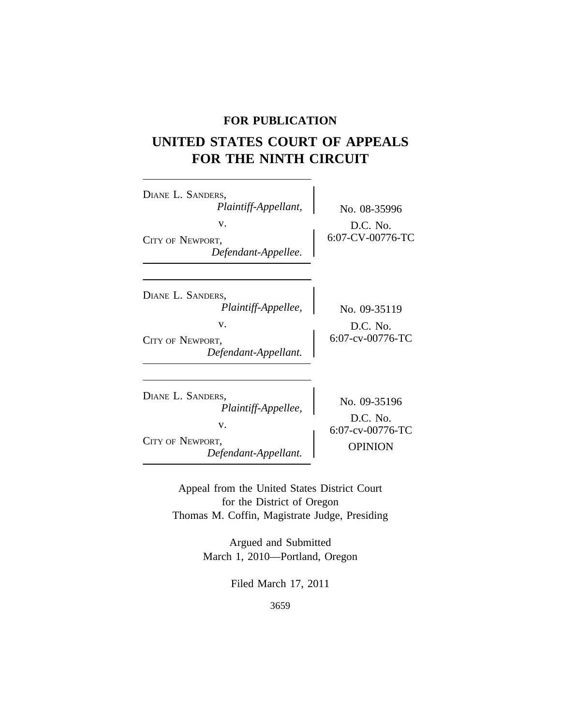### **FOR PUBLICATION**

# **UNITED STATES COURT OF APPEALS FOR THE NINTH CIRCUIT**

<sup>D</sup>IANE L. SANDERS, *Plaintiff-Appellant,* No. 08-35996 v.  $D.C. No.$ CITY OF NEWPORT, 6:07-CV-00776-TC *Defendant-Appellee.* <sup>D</sup>IANE L. SANDERS, *Plaintiff-Appellee,* No. 09-35119 v.  $D.C. No.$ <br>  $6:07-cv-00776-TC$ CITY OF NEWPORT, *Defendant-Appellant.* <sup>D</sup>IANE L. SANDERS, No. 09-35196 *Plaintiff-Appellee,* D.C. No. v.  $6:07-cv-00776-TC$ CITY OF NEWPORT, OPINION *Defendant-Appellant.*

> Appeal from the United States District Court for the District of Oregon Thomas M. Coffin, Magistrate Judge, Presiding

> > Argued and Submitted March 1, 2010—Portland, Oregon

> > > Filed March 17, 2011

3659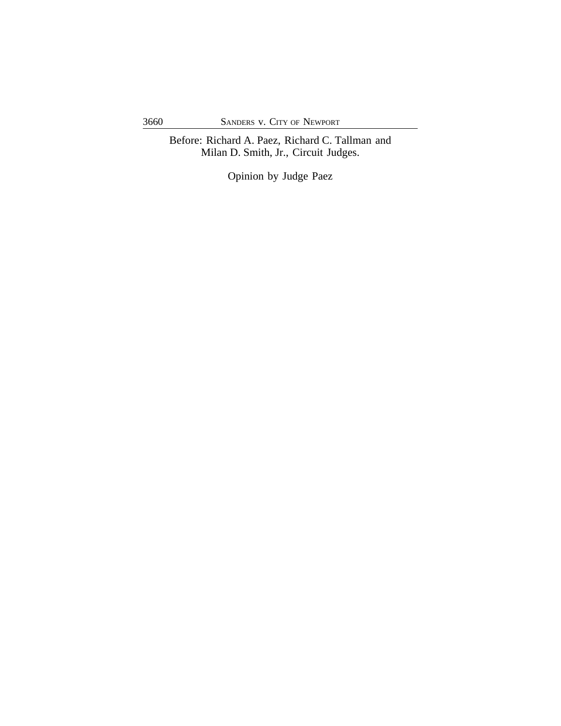Before: Richard A. Paez, Richard C. Tallman and Milan D. Smith, Jr., Circuit Judges.

Opinion by Judge Paez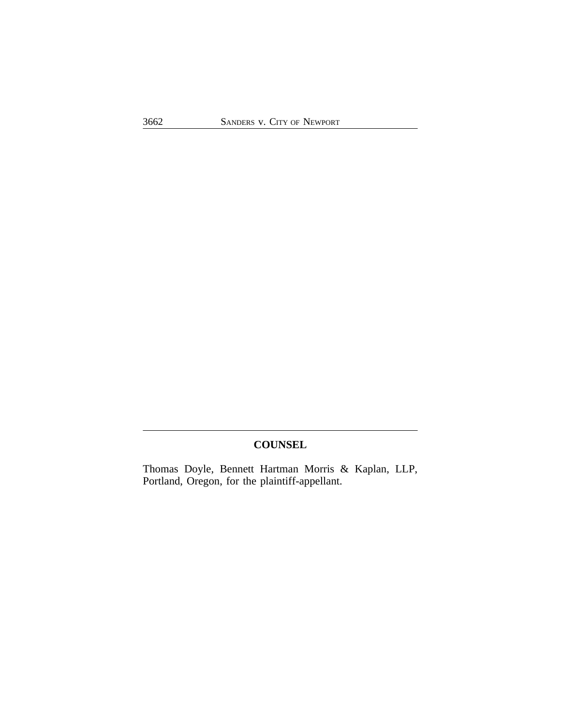# **COUNSEL**

Thomas Doyle, Bennett Hartman Morris & Kaplan, LLP, Portland, Oregon, for the plaintiff-appellant.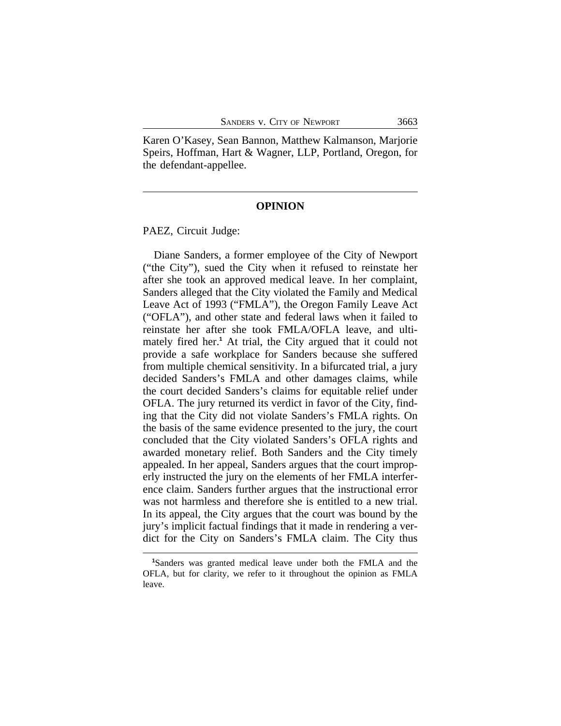Karen O'Kasey, Sean Bannon, Matthew Kalmanson, Marjorie Speirs, Hoffman, Hart & Wagner, LLP, Portland, Oregon, for the defendant-appellee.

#### **OPINION**

PAEZ, Circuit Judge:

Diane Sanders, a former employee of the City of Newport ("the City"), sued the City when it refused to reinstate her after she took an approved medical leave. In her complaint, Sanders alleged that the City violated the Family and Medical Leave Act of 1993 ("FMLA"), the Oregon Family Leave Act ("OFLA"), and other state and federal laws when it failed to reinstate her after she took FMLA/OFLA leave, and ultimately fired her.**<sup>1</sup>** At trial, the City argued that it could not provide a safe workplace for Sanders because she suffered from multiple chemical sensitivity. In a bifurcated trial, a jury decided Sanders's FMLA and other damages claims, while the court decided Sanders's claims for equitable relief under OFLA. The jury returned its verdict in favor of the City, finding that the City did not violate Sanders's FMLA rights. On the basis of the same evidence presented to the jury, the court concluded that the City violated Sanders's OFLA rights and awarded monetary relief. Both Sanders and the City timely appealed. In her appeal, Sanders argues that the court improperly instructed the jury on the elements of her FMLA interference claim. Sanders further argues that the instructional error was not harmless and therefore she is entitled to a new trial. In its appeal, the City argues that the court was bound by the jury's implicit factual findings that it made in rendering a verdict for the City on Sanders's FMLA claim. The City thus

**<sup>1</sup>**Sanders was granted medical leave under both the FMLA and the OFLA, but for clarity, we refer to it throughout the opinion as FMLA leave.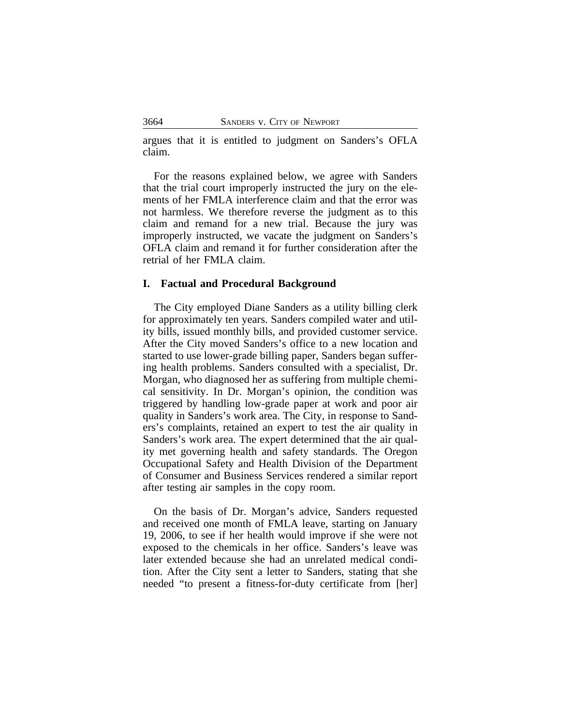argues that it is entitled to judgment on Sanders's OFLA claim.

For the reasons explained below, we agree with Sanders that the trial court improperly instructed the jury on the elements of her FMLA interference claim and that the error was not harmless. We therefore reverse the judgment as to this claim and remand for a new trial. Because the jury was improperly instructed, we vacate the judgment on Sanders's OFLA claim and remand it for further consideration after the retrial of her FMLA claim.

#### **I. Factual and Procedural Background**

The City employed Diane Sanders as a utility billing clerk for approximately ten years. Sanders compiled water and utility bills, issued monthly bills, and provided customer service. After the City moved Sanders's office to a new location and started to use lower-grade billing paper, Sanders began suffering health problems. Sanders consulted with a specialist, Dr. Morgan, who diagnosed her as suffering from multiple chemical sensitivity. In Dr. Morgan's opinion, the condition was triggered by handling low-grade paper at work and poor air quality in Sanders's work area. The City, in response to Sanders's complaints, retained an expert to test the air quality in Sanders's work area. The expert determined that the air quality met governing health and safety standards. The Oregon Occupational Safety and Health Division of the Department of Consumer and Business Services rendered a similar report after testing air samples in the copy room.

On the basis of Dr. Morgan's advice, Sanders requested and received one month of FMLA leave, starting on January 19, 2006, to see if her health would improve if she were not exposed to the chemicals in her office. Sanders's leave was later extended because she had an unrelated medical condition. After the City sent a letter to Sanders, stating that she needed "to present a fitness-for-duty certificate from [her]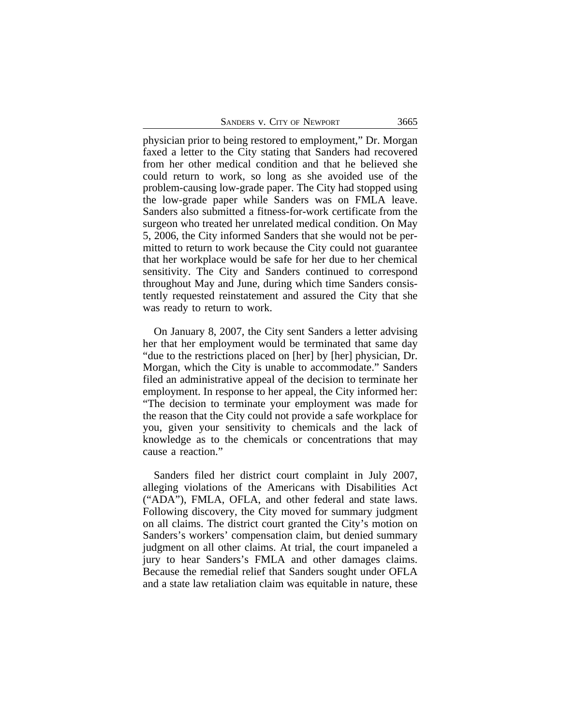| SANDERS V. CITY OF NEWPORT | 3665 |
|----------------------------|------|
|                            |      |

physician prior to being restored to employment," Dr. Morgan faxed a letter to the City stating that Sanders had recovered from her other medical condition and that he believed she could return to work, so long as she avoided use of the problem-causing low-grade paper. The City had stopped using the low-grade paper while Sanders was on FMLA leave. Sanders also submitted a fitness-for-work certificate from the surgeon who treated her unrelated medical condition. On May 5, 2006, the City informed Sanders that she would not be permitted to return to work because the City could not guarantee that her workplace would be safe for her due to her chemical sensitivity. The City and Sanders continued to correspond throughout May and June, during which time Sanders consistently requested reinstatement and assured the City that she was ready to return to work.

On January 8, 2007, the City sent Sanders a letter advising her that her employment would be terminated that same day "due to the restrictions placed on [her] by [her] physician, Dr. Morgan, which the City is unable to accommodate." Sanders filed an administrative appeal of the decision to terminate her employment. In response to her appeal, the City informed her: "The decision to terminate your employment was made for the reason that the City could not provide a safe workplace for you, given your sensitivity to chemicals and the lack of knowledge as to the chemicals or concentrations that may cause a reaction."

Sanders filed her district court complaint in July 2007, alleging violations of the Americans with Disabilities Act ("ADA"), FMLA, OFLA, and other federal and state laws. Following discovery, the City moved for summary judgment on all claims. The district court granted the City's motion on Sanders's workers' compensation claim, but denied summary judgment on all other claims. At trial, the court impaneled a jury to hear Sanders's FMLA and other damages claims. Because the remedial relief that Sanders sought under OFLA and a state law retaliation claim was equitable in nature, these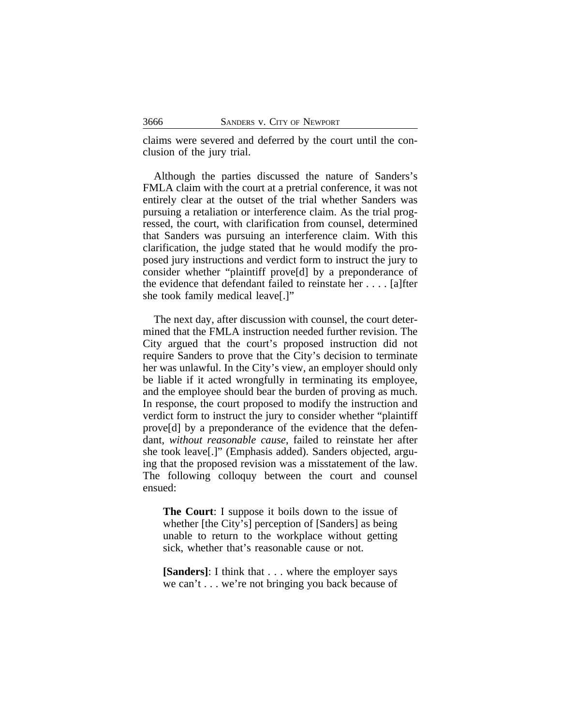claims were severed and deferred by the court until the conclusion of the jury trial.

Although the parties discussed the nature of Sanders's FMLA claim with the court at a pretrial conference, it was not entirely clear at the outset of the trial whether Sanders was pursuing a retaliation or interference claim. As the trial progressed, the court, with clarification from counsel, determined that Sanders was pursuing an interference claim. With this clarification, the judge stated that he would modify the proposed jury instructions and verdict form to instruct the jury to consider whether "plaintiff prove[d] by a preponderance of the evidence that defendant failed to reinstate her . . . . [a]fter she took family medical leave[.]"

The next day, after discussion with counsel, the court determined that the FMLA instruction needed further revision. The City argued that the court's proposed instruction did not require Sanders to prove that the City's decision to terminate her was unlawful. In the City's view, an employer should only be liable if it acted wrongfully in terminating its employee, and the employee should bear the burden of proving as much. In response, the court proposed to modify the instruction and verdict form to instruct the jury to consider whether "plaintiff prove[d] by a preponderance of the evidence that the defendant, *without reasonable cause*, failed to reinstate her after she took leave[.]" (Emphasis added). Sanders objected, arguing that the proposed revision was a misstatement of the law. The following colloquy between the court and counsel ensued:

**The Court**: I suppose it boils down to the issue of whether [the City's] perception of [Sanders] as being unable to return to the workplace without getting sick, whether that's reasonable cause or not.

**[Sanders]**: I think that . . . where the employer says we can't . . . we're not bringing you back because of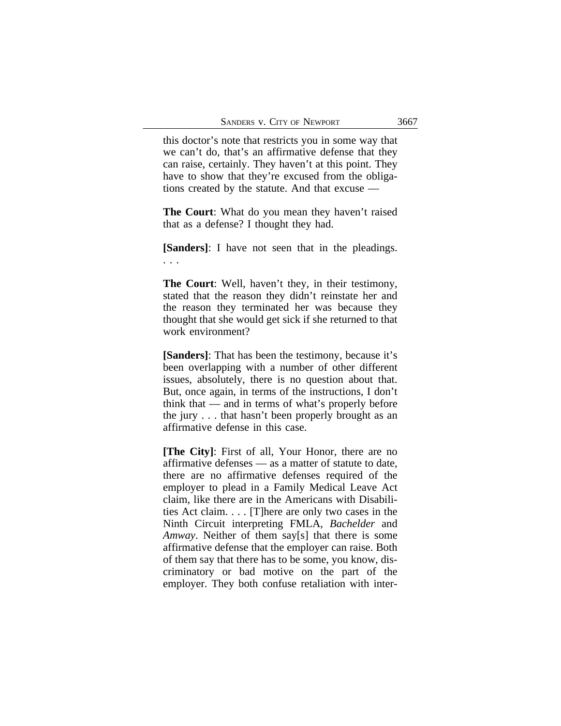this doctor's note that restricts you in some way that we can't do, that's an affirmative defense that they can raise, certainly. They haven't at this point. They have to show that they're excused from the obligations created by the statute. And that excuse —

**The Court**: What do you mean they haven't raised that as a defense? I thought they had.

**[Sanders]**: I have not seen that in the pleadings. . . .

**The Court**: Well, haven't they, in their testimony, stated that the reason they didn't reinstate her and the reason they terminated her was because they thought that she would get sick if she returned to that work environment?

**[Sanders]**: That has been the testimony, because it's been overlapping with a number of other different issues, absolutely, there is no question about that. But, once again, in terms of the instructions, I don't think that — and in terms of what's properly before the jury . . . that hasn't been properly brought as an affirmative defense in this case.

**[The City]**: First of all, Your Honor, there are no affirmative defenses — as a matter of statute to date, there are no affirmative defenses required of the employer to plead in a Family Medical Leave Act claim, like there are in the Americans with Disabilities Act claim. . . . [T]here are only two cases in the Ninth Circuit interpreting FMLA, *Bachelder* and *Amway*. Neither of them say[s] that there is some affirmative defense that the employer can raise. Both of them say that there has to be some, you know, discriminatory or bad motive on the part of the employer. They both confuse retaliation with inter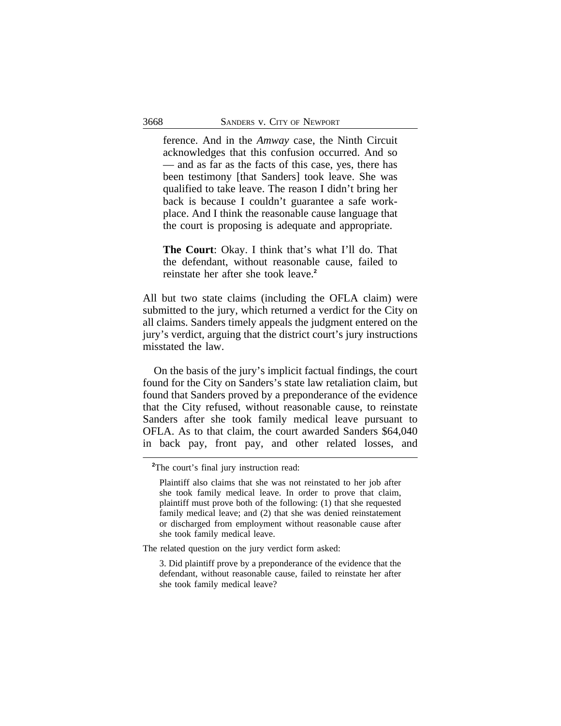ference. And in the *Amway* case, the Ninth Circuit acknowledges that this confusion occurred. And so — and as far as the facts of this case, yes, there has been testimony [that Sanders] took leave. She was qualified to take leave. The reason I didn't bring her back is because I couldn't guarantee a safe workplace. And I think the reasonable cause language that the court is proposing is adequate and appropriate.

**The Court**: Okay. I think that's what I'll do. That the defendant, without reasonable cause, failed to reinstate her after she took leave.**<sup>2</sup>**

All but two state claims (including the OFLA claim) were submitted to the jury, which returned a verdict for the City on all claims. Sanders timely appeals the judgment entered on the jury's verdict, arguing that the district court's jury instructions misstated the law.

On the basis of the jury's implicit factual findings, the court found for the City on Sanders's state law retaliation claim, but found that Sanders proved by a preponderance of the evidence that the City refused, without reasonable cause, to reinstate Sanders after she took family medical leave pursuant to OFLA. As to that claim, the court awarded Sanders \$64,040 in back pay, front pay, and other related losses, and

The related question on the jury verdict form asked:

**<sup>2</sup>**The court's final jury instruction read:

Plaintiff also claims that she was not reinstated to her job after she took family medical leave. In order to prove that claim, plaintiff must prove both of the following: (1) that she requested family medical leave; and (2) that she was denied reinstatement or discharged from employment without reasonable cause after she took family medical leave.

<sup>3.</sup> Did plaintiff prove by a preponderance of the evidence that the defendant, without reasonable cause, failed to reinstate her after she took family medical leave?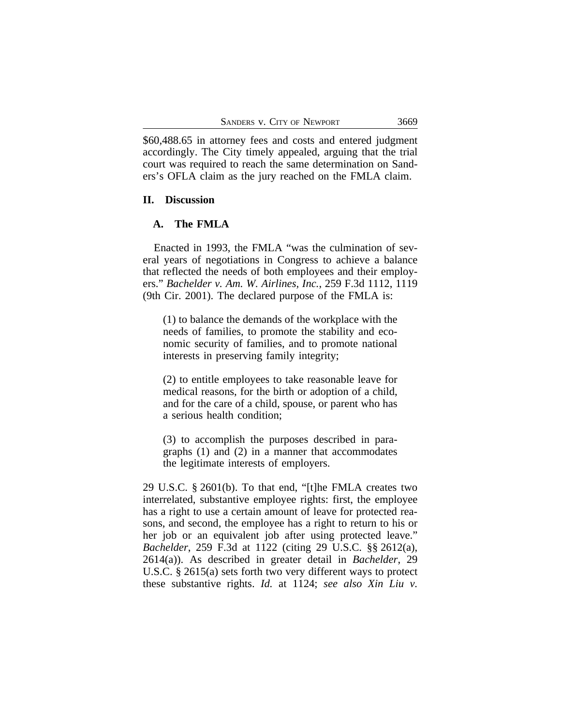\$60,488.65 in attorney fees and costs and entered judgment accordingly. The City timely appealed, arguing that the trial court was required to reach the same determination on Sanders's OFLA claim as the jury reached on the FMLA claim.

#### **II. Discussion**

#### **A. The FMLA**

Enacted in 1993, the FMLA "was the culmination of several years of negotiations in Congress to achieve a balance that reflected the needs of both employees and their employers." *Bachelder v. Am. W. Airlines, Inc.*, 259 F.3d 1112, 1119 (9th Cir. 2001). The declared purpose of the FMLA is:

(1) to balance the demands of the workplace with the needs of families, to promote the stability and economic security of families, and to promote national interests in preserving family integrity;

(2) to entitle employees to take reasonable leave for medical reasons, for the birth or adoption of a child, and for the care of a child, spouse, or parent who has a serious health condition;

(3) to accomplish the purposes described in paragraphs (1) and (2) in a manner that accommodates the legitimate interests of employers.

29 U.S.C. § 2601(b). To that end, "[t]he FMLA creates two interrelated, substantive employee rights: first, the employee has a right to use a certain amount of leave for protected reasons, and second, the employee has a right to return to his or her job or an equivalent job after using protected leave." *Bachelder*, 259 F.3d at 1122 (citing 29 U.S.C. §§ 2612(a), 2614(a)). As described in greater detail in *Bachelder*, 29 U.S.C. § 2615(a) sets forth two very different ways to protect these substantive rights. *Id.* at 1124; *see also Xin Liu v.*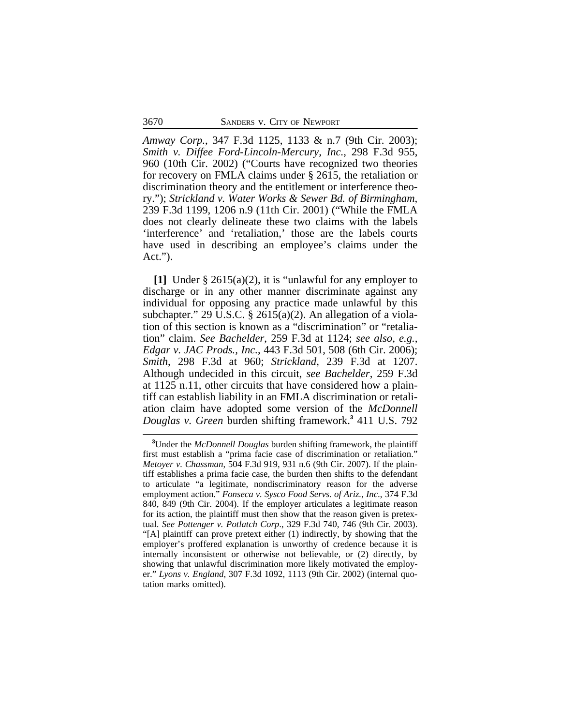*Amway Corp.*, 347 F.3d 1125, 1133 & n.7 (9th Cir. 2003); *Smith v. Diffee Ford-Lincoln-Mercury, Inc.*, 298 F.3d 955, 960 (10th Cir. 2002) ("Courts have recognized two theories for recovery on FMLA claims under § 2615, the retaliation or discrimination theory and the entitlement or interference theory."); *Strickland v. Water Works & Sewer Bd. of Birmingham*, 239 F.3d 1199, 1206 n.9 (11th Cir. 2001) ("While the FMLA does not clearly delineate these two claims with the labels 'interference' and 'retaliation,' those are the labels courts have used in describing an employee's claims under the Act.").

**[1]** Under § 2615(a)(2), it is "unlawful for any employer to discharge or in any other manner discriminate against any individual for opposing any practice made unlawful by this subchapter." 29 U.S.C. § 2615(a)(2). An allegation of a violation of this section is known as a "discrimination" or "retaliation" claim. *See Bachelder*, 259 F.3d at 1124; *see also, e.g.*, *Edgar v. JAC Prods., Inc.*, 443 F.3d 501, 508 (6th Cir. 2006); *Smith*, 298 F.3d at 960; *Strickland*, 239 F.3d at 1207. Although undecided in this circuit, *see Bachelder*, 259 F.3d at 1125 n.11, other circuits that have considered how a plaintiff can establish liability in an FMLA discrimination or retaliation claim have adopted some version of the *McDonnell Douglas v. Green* burden shifting framework.**<sup>3</sup>** 411 U.S. 792

**<sup>3</sup>**Under the *McDonnell Douglas* burden shifting framework, the plaintiff first must establish a "prima facie case of discrimination or retaliation." *Metoyer v. Chassman*, 504 F.3d 919, 931 n.6 (9th Cir. 2007). If the plaintiff establishes a prima facie case, the burden then shifts to the defendant to articulate "a legitimate, nondiscriminatory reason for the adverse employment action." *Fonseca v. Sysco Food Servs. of Ariz., Inc*., 374 F.3d 840, 849 (9th Cir. 2004). If the employer articulates a legitimate reason for its action, the plaintiff must then show that the reason given is pretextual. *See Pottenger v. Potlatch Corp*., 329 F.3d 740, 746 (9th Cir. 2003). "[A] plaintiff can prove pretext either (1) indirectly, by showing that the employer's proffered explanation is unworthy of credence because it is internally inconsistent or otherwise not believable, or (2) directly, by showing that unlawful discrimination more likely motivated the employer." *Lyons v. England*, 307 F.3d 1092, 1113 (9th Cir. 2002) (internal quotation marks omitted).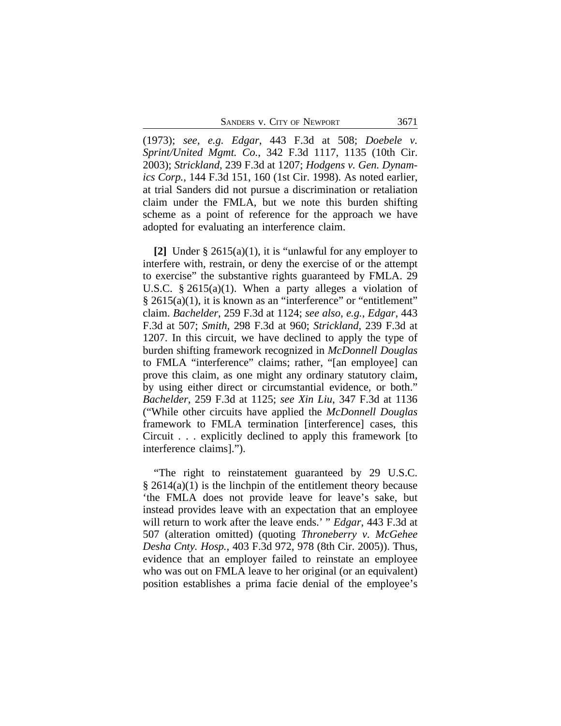SANDERS V. CITY OF NEWPORT 3671

(1973); *see, e.g. Edgar*, 443 F.3d at 508; *Doebele v. Sprint/United Mgmt. Co.*, 342 F.3d 1117, 1135 (10th Cir. 2003); *Strickland*, 239 F.3d at 1207; *Hodgens v. Gen. Dynamics Corp.*, 144 F.3d 151, 160 (1st Cir. 1998). As noted earlier, at trial Sanders did not pursue a discrimination or retaliation claim under the FMLA, but we note this burden shifting scheme as a point of reference for the approach we have adopted for evaluating an interference claim.

**[2]** Under § 2615(a)(1), it is "unlawful for any employer to interfere with, restrain, or deny the exercise of or the attempt to exercise" the substantive rights guaranteed by FMLA. 29 U.S.C. § 2615(a)(1). When a party alleges a violation of § 2615(a)(1), it is known as an "interference" or "entitlement" claim. *Bachelder*, 259 F.3d at 1124; *see also, e.g.*, *Edgar*, 443 F.3d at 507; *Smith*, 298 F.3d at 960; *Strickland*, 239 F.3d at 1207. In this circuit, we have declined to apply the type of burden shifting framework recognized in *McDonnell Douglas* to FMLA "interference" claims; rather, "[an employee] can prove this claim, as one might any ordinary statutory claim, by using either direct or circumstantial evidence, or both." *Bachelder*, 259 F.3d at 1125; *see Xin Liu*, 347 F.3d at 1136 ("While other circuits have applied the *McDonnell Douglas* framework to FMLA termination [interference] cases, this Circuit . . . explicitly declined to apply this framework [to interference claims].").

"The right to reinstatement guaranteed by 29 U.S.C.  $\S 2614(a)(1)$  is the linchpin of the entitlement theory because 'the FMLA does not provide leave for leave's sake, but instead provides leave with an expectation that an employee will return to work after the leave ends.' " *Edgar*, 443 F.3d at 507 (alteration omitted) (quoting *Throneberry v. McGehee Desha Cnty. Hosp.*, 403 F.3d 972, 978 (8th Cir. 2005)). Thus, evidence that an employer failed to reinstate an employee who was out on FMLA leave to her original (or an equivalent) position establishes a prima facie denial of the employee's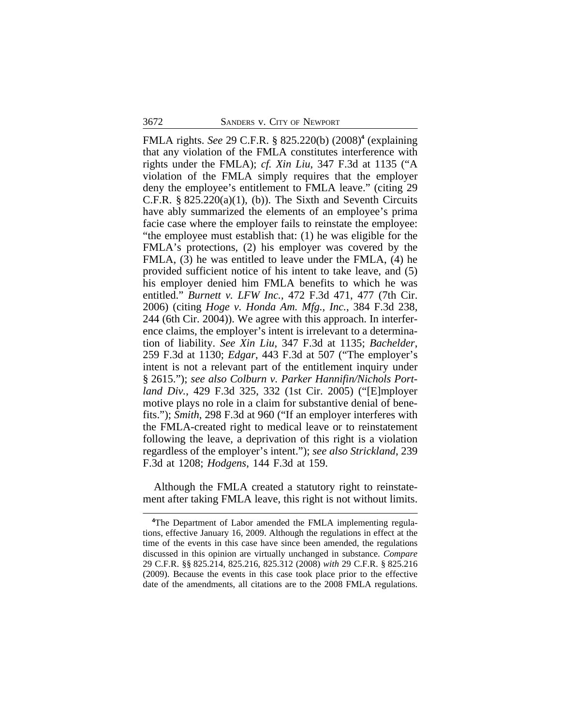FMLA rights. *See* 29 C.F.R. § 825.220(b) (2008)**<sup>4</sup>** (explaining that any violation of the FMLA constitutes interference with rights under the FMLA); *cf. Xin Liu*, 347 F.3d at 1135 ("A violation of the FMLA simply requires that the employer deny the employee's entitlement to FMLA leave." (citing 29 C.F.R.  $\S 825.220(a)(1)$ , (b)). The Sixth and Seventh Circuits have ably summarized the elements of an employee's prima facie case where the employer fails to reinstate the employee: "the employee must establish that: (1) he was eligible for the FMLA's protections, (2) his employer was covered by the FMLA, (3) he was entitled to leave under the FMLA, (4) he provided sufficient notice of his intent to take leave, and (5) his employer denied him FMLA benefits to which he was entitled." *Burnett v. LFW Inc.*, 472 F.3d 471, 477 (7th Cir. 2006) (citing *Hoge v. Honda Am. Mfg., Inc.*, 384 F.3d 238, 244 (6th Cir. 2004)). We agree with this approach. In interference claims, the employer's intent is irrelevant to a determination of liability. *See Xin Liu*, 347 F.3d at 1135; *Bachelder*, 259 F.3d at 1130; *Edgar*, 443 F.3d at 507 ("The employer's intent is not a relevant part of the entitlement inquiry under § 2615."); *see also Colburn v. Parker Hannifin/Nichols Portland Div.*, 429 F.3d 325, 332 (1st Cir. 2005) ("[E]mployer motive plays no role in a claim for substantive denial of benefits."); *Smith*, 298 F.3d at 960 ("If an employer interferes with the FMLA-created right to medical leave or to reinstatement following the leave, a deprivation of this right is a violation regardless of the employer's intent."); *see also Strickland*, 239 F.3d at 1208; *Hodgens*, 144 F.3d at 159.

Although the FMLA created a statutory right to reinstatement after taking FMLA leave, this right is not without limits.

**<sup>4</sup>**The Department of Labor amended the FMLA implementing regulations, effective January 16, 2009. Although the regulations in effect at the time of the events in this case have since been amended, the regulations discussed in this opinion are virtually unchanged in substance. *Compare* 29 C.F.R. §§ 825.214, 825.216, 825.312 (2008) *with* 29 C.F.R. § 825.216 (2009). Because the events in this case took place prior to the effective date of the amendments, all citations are to the 2008 FMLA regulations.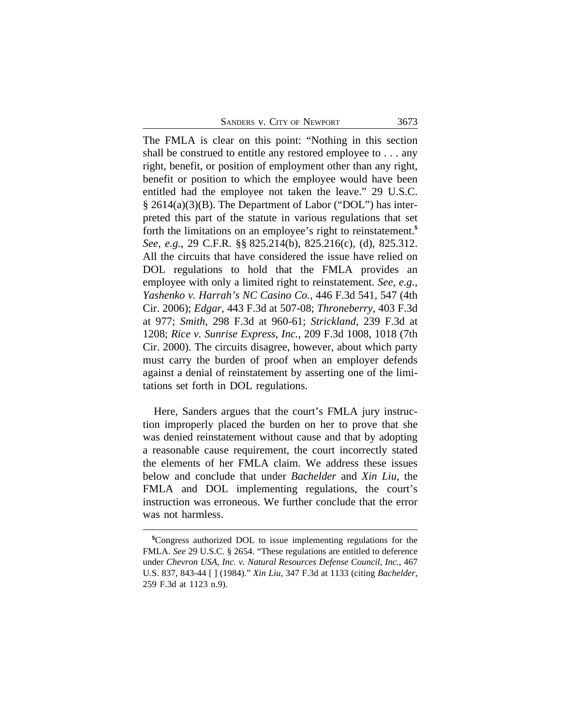The FMLA is clear on this point: "Nothing in this section shall be construed to entitle any restored employee to . . . any right, benefit, or position of employment other than any right, benefit or position to which the employee would have been entitled had the employee not taken the leave." 29 U.S.C. § 2614(a)(3)(B). The Department of Labor ("DOL") has interpreted this part of the statute in various regulations that set forth the limitations on an employee's right to reinstatement.**<sup>5</sup>** *See, e.g.*, 29 C.F.R. §§ 825.214(b), 825.216(c), (d), 825.312. All the circuits that have considered the issue have relied on DOL regulations to hold that the FMLA provides an employee with only a limited right to reinstatement. *See, e.g.*, *Yashenko v. Harrah's NC Casino Co.*, 446 F.3d 541, 547 (4th Cir. 2006); *Edgar*, 443 F.3d at 507-08; *Throneberry*, 403 F.3d at 977; *Smith*, 298 F.3d at 960-61; *Strickland*, 239 F.3d at 1208; *Rice v. Sunrise Express, Inc.*, 209 F.3d 1008, 1018 (7th Cir. 2000). The circuits disagree, however, about which party must carry the burden of proof when an employer defends against a denial of reinstatement by asserting one of the limitations set forth in DOL regulations.

Here, Sanders argues that the court's FMLA jury instruction improperly placed the burden on her to prove that she was denied reinstatement without cause and that by adopting a reasonable cause requirement, the court incorrectly stated the elements of her FMLA claim. We address these issues below and conclude that under *Bachelder* and *Xin Liu*, the FMLA and DOL implementing regulations, the court's instruction was erroneous. We further conclude that the error was not harmless.

**<sup>5</sup>**Congress authorized DOL to issue implementing regulations for the FMLA. *See* 29 U.S.C. § 2654. "These regulations are entitled to deference under *Chevron USA, Inc. v. Natural Resources Defense Council, Inc.*, 467 U.S. 837, 843-44 [ ] (1984)." *Xin Liu*, 347 F.3d at 1133 (citing *Bachelder*, 259 F.3d at 1123 n.9).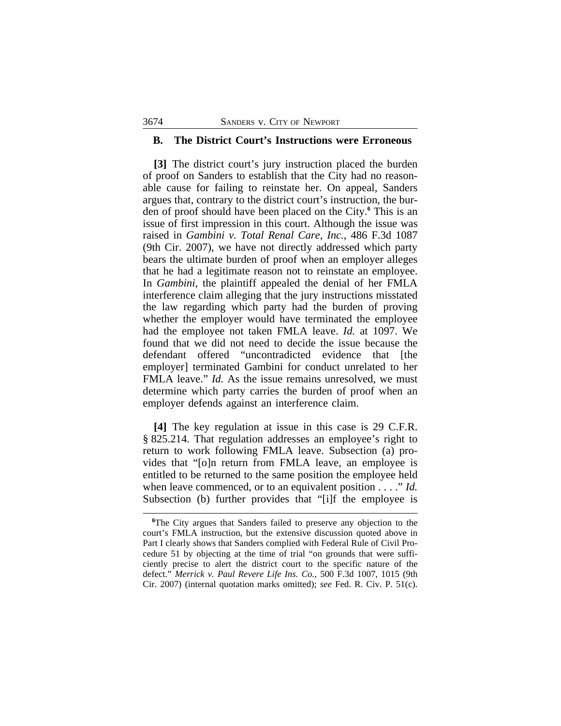#### **B. The District Court's Instructions were Erroneous**

**[3]** The district court's jury instruction placed the burden of proof on Sanders to establish that the City had no reasonable cause for failing to reinstate her. On appeal, Sanders argues that, contrary to the district court's instruction, the burden of proof should have been placed on the City.**<sup>6</sup>** This is an issue of first impression in this court. Although the issue was raised in *Gambini v. Total Renal Care, Inc.*, 486 F.3d 1087 (9th Cir. 2007), we have not directly addressed which party bears the ultimate burden of proof when an employer alleges that he had a legitimate reason not to reinstate an employee. In *Gambini*, the plaintiff appealed the denial of her FMLA interference claim alleging that the jury instructions misstated the law regarding which party had the burden of proving whether the employer would have terminated the employee had the employee not taken FMLA leave. *Id.* at 1097. We found that we did not need to decide the issue because the defendant offered "uncontradicted evidence that [the employer] terminated Gambini for conduct unrelated to her FMLA leave." *Id.* As the issue remains unresolved, we must determine which party carries the burden of proof when an employer defends against an interference claim.

**[4]** The key regulation at issue in this case is 29 C.F.R. § 825.214. That regulation addresses an employee's right to return to work following FMLA leave. Subsection (a) provides that "[o]n return from FMLA leave, an employee is entitled to be returned to the same position the employee held when leave commenced, or to an equivalent position . . . ." *Id.* Subsection (b) further provides that "[i]f the employee is

**<sup>6</sup>**The City argues that Sanders failed to preserve any objection to the court's FMLA instruction, but the extensive discussion quoted above in Part I clearly shows that Sanders complied with Federal Rule of Civil Procedure 51 by objecting at the time of trial "on grounds that were sufficiently precise to alert the district court to the specific nature of the defect." *Merrick v. Paul Revere Life Ins. Co.*, 500 F.3d 1007, 1015 (9th Cir. 2007) (internal quotation marks omitted); *see* Fed. R. Civ. P. 51(c).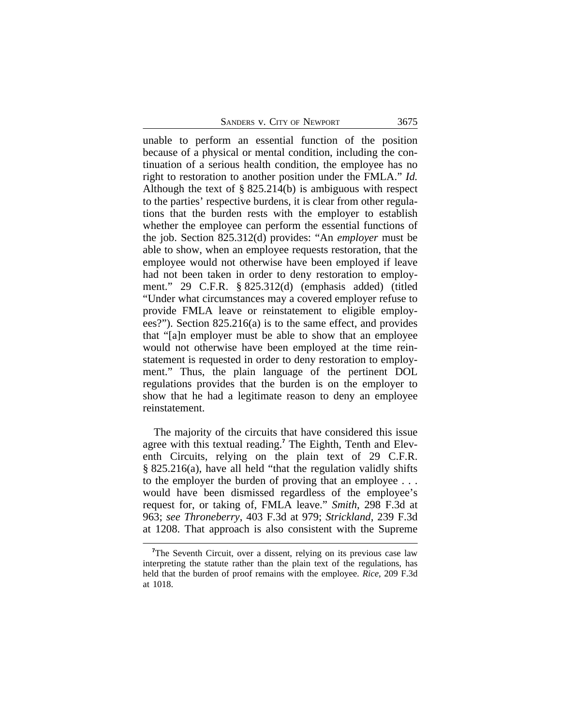unable to perform an essential function of the position because of a physical or mental condition, including the continuation of a serious health condition, the employee has no right to restoration to another position under the FMLA." *Id.* Although the text of § 825.214(b) is ambiguous with respect to the parties' respective burdens, it is clear from other regulations that the burden rests with the employer to establish whether the employee can perform the essential functions of the job. Section 825.312(d) provides: "An *employer* must be able to show, when an employee requests restoration, that the employee would not otherwise have been employed if leave had not been taken in order to deny restoration to employment." 29 C.F.R. § 825.312(d) (emphasis added) (titled "Under what circumstances may a covered employer refuse to provide FMLA leave or reinstatement to eligible employees?"). Section 825.216(a) is to the same effect, and provides that "[a]n employer must be able to show that an employee would not otherwise have been employed at the time reinstatement is requested in order to deny restoration to employment." Thus, the plain language of the pertinent DOL regulations provides that the burden is on the employer to show that he had a legitimate reason to deny an employee reinstatement.

The majority of the circuits that have considered this issue agree with this textual reading.**<sup>7</sup>** The Eighth, Tenth and Eleventh Circuits, relying on the plain text of 29 C.F.R. § 825.216(a), have all held "that the regulation validly shifts to the employer the burden of proving that an employee . . . would have been dismissed regardless of the employee's request for, or taking of, FMLA leave." *Smith*, 298 F.3d at 963; *see Throneberry*, 403 F.3d at 979; *Strickland*, 239 F.3d at 1208. That approach is also consistent with the Supreme

<sup>&</sup>lt;sup>7</sup>The Seventh Circuit, over a dissent, relying on its previous case law interpreting the statute rather than the plain text of the regulations, has held that the burden of proof remains with the employee. *Rice*, 209 F.3d at 1018.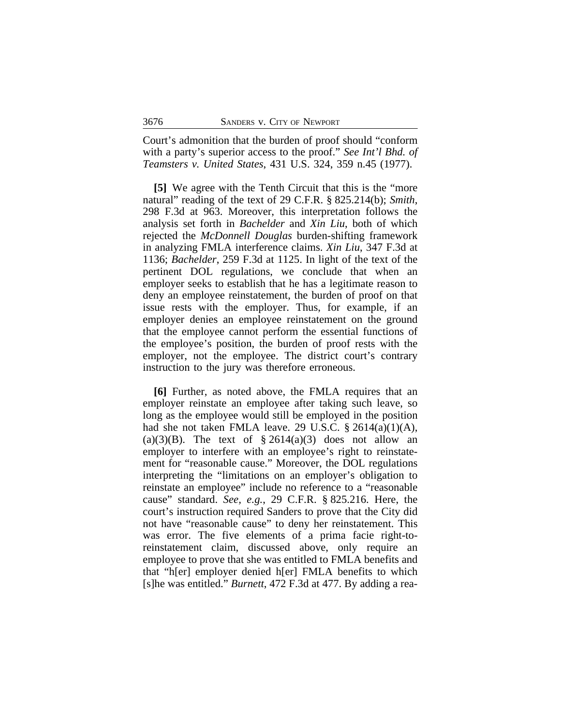Court's admonition that the burden of proof should "conform with a party's superior access to the proof." *See Int'l Bhd. of Teamsters v. United States*, 431 U.S. 324, 359 n.45 (1977).

**[5]** We agree with the Tenth Circuit that this is the "more natural" reading of the text of 29 C.F.R. § 825.214(b); *Smith*, 298 F.3d at 963. Moreover, this interpretation follows the analysis set forth in *Bachelder* and *Xin Liu*, both of which rejected the *McDonnell Douglas* burden-shifting framework in analyzing FMLA interference claims. *Xin Liu*, 347 F.3d at 1136; *Bachelder*, 259 F.3d at 1125. In light of the text of the pertinent DOL regulations, we conclude that when an employer seeks to establish that he has a legitimate reason to deny an employee reinstatement, the burden of proof on that issue rests with the employer. Thus, for example, if an employer denies an employee reinstatement on the ground that the employee cannot perform the essential functions of the employee's position, the burden of proof rests with the employer, not the employee. The district court's contrary instruction to the jury was therefore erroneous.

**[6]** Further, as noted above, the FMLA requires that an employer reinstate an employee after taking such leave, so long as the employee would still be employed in the position had she not taken FMLA leave. 29 U.S.C.  $\S 2614(a)(1)(A)$ , (a)(3)(B). The text of  $\S 2614(a)(3)$  does not allow an employer to interfere with an employee's right to reinstatement for "reasonable cause." Moreover, the DOL regulations interpreting the "limitations on an employer's obligation to reinstate an employee" include no reference to a "reasonable cause" standard. *See, e.g.*, 29 C.F.R. § 825.216. Here, the court's instruction required Sanders to prove that the City did not have "reasonable cause" to deny her reinstatement. This was error. The five elements of a prima facie right-toreinstatement claim, discussed above, only require an employee to prove that she was entitled to FMLA benefits and that "h[er] employer denied h[er] FMLA benefits to which [s]he was entitled." *Burnett*, 472 F.3d at 477. By adding a rea-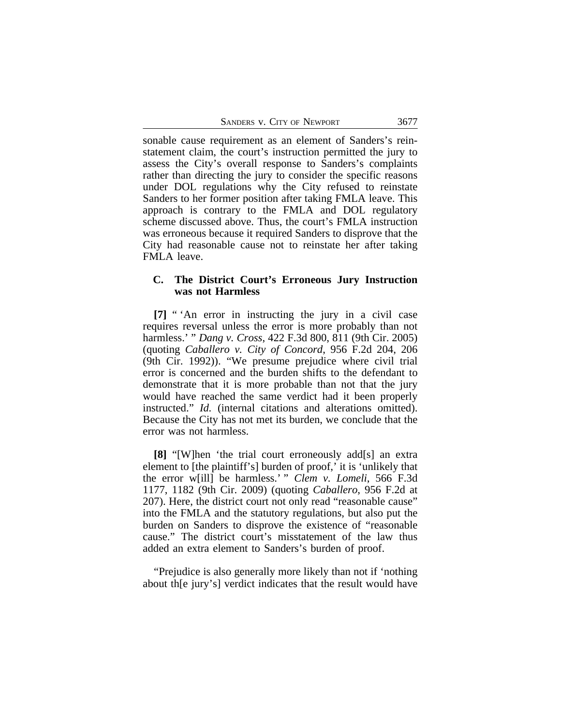| SANDERS V. CITY OF NEWPORT | 3677 |
|----------------------------|------|
|                            |      |

sonable cause requirement as an element of Sanders's reinstatement claim, the court's instruction permitted the jury to assess the City's overall response to Sanders's complaints rather than directing the jury to consider the specific reasons under DOL regulations why the City refused to reinstate Sanders to her former position after taking FMLA leave. This approach is contrary to the FMLA and DOL regulatory scheme discussed above. Thus, the court's FMLA instruction was erroneous because it required Sanders to disprove that the City had reasonable cause not to reinstate her after taking FMLA leave.

#### **C. The District Court's Erroneous Jury Instruction was not Harmless**

**[7]** " 'An error in instructing the jury in a civil case requires reversal unless the error is more probably than not harmless.' " *Dang v. Cross*, 422 F.3d 800, 811 (9th Cir. 2005) (quoting *Caballero v. City of Concord*, 956 F.2d 204, 206 (9th Cir. 1992)). "We presume prejudice where civil trial error is concerned and the burden shifts to the defendant to demonstrate that it is more probable than not that the jury would have reached the same verdict had it been properly instructed." *Id.* (internal citations and alterations omitted). Because the City has not met its burden, we conclude that the error was not harmless.

**[8]** "[W]hen 'the trial court erroneously add[s] an extra element to [the plaintiff's] burden of proof,' it is 'unlikely that the error w[ill] be harmless.' " *Clem v. Lomeli*, 566 F.3d 1177, 1182 (9th Cir. 2009) (quoting *Caballero*, 956 F.2d at 207). Here, the district court not only read "reasonable cause" into the FMLA and the statutory regulations, but also put the burden on Sanders to disprove the existence of "reasonable cause." The district court's misstatement of the law thus added an extra element to Sanders's burden of proof.

"Prejudice is also generally more likely than not if 'nothing about th[e jury's] verdict indicates that the result would have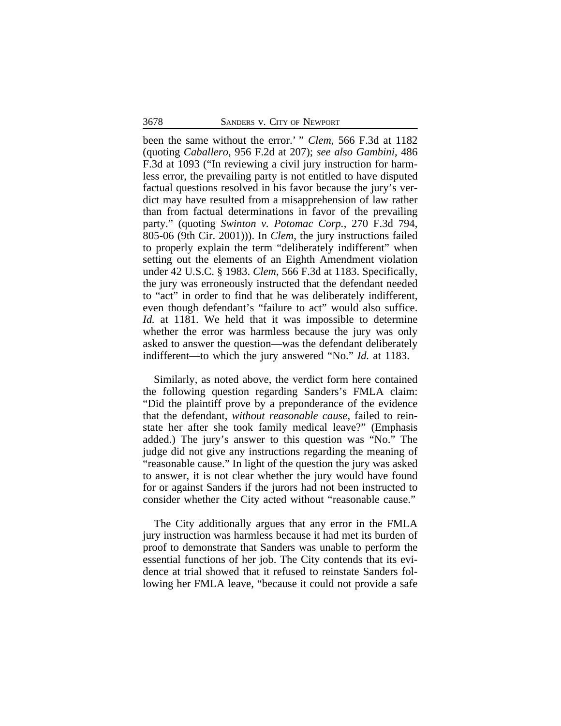been the same without the error.' " *Clem*, 566 F.3d at 1182 (quoting *Caballero*, 956 F.2d at 207); *see also Gambini*, 486 F.3d at 1093 ("In reviewing a civil jury instruction for harmless error, the prevailing party is not entitled to have disputed factual questions resolved in his favor because the jury's verdict may have resulted from a misapprehension of law rather than from factual determinations in favor of the prevailing party." (quoting *Swinton v. Potomac Corp.*, 270 F.3d 794, 805-06 (9th Cir. 2001))). In *Clem*, the jury instructions failed to properly explain the term "deliberately indifferent" when setting out the elements of an Eighth Amendment violation under 42 U.S.C. § 1983. *Clem*, 566 F.3d at 1183. Specifically, the jury was erroneously instructed that the defendant needed to "act" in order to find that he was deliberately indifferent, even though defendant's "failure to act" would also suffice. *Id.* at 1181. We held that it was impossible to determine whether the error was harmless because the jury was only asked to answer the question—was the defendant deliberately indifferent—to which the jury answered "No." *Id.* at 1183.

Similarly, as noted above, the verdict form here contained the following question regarding Sanders's FMLA claim: "Did the plaintiff prove by a preponderance of the evidence that the defendant, *without reasonable cause*, failed to reinstate her after she took family medical leave?" (Emphasis added.) The jury's answer to this question was "No." The judge did not give any instructions regarding the meaning of "reasonable cause." In light of the question the jury was asked to answer, it is not clear whether the jury would have found for or against Sanders if the jurors had not been instructed to consider whether the City acted without "reasonable cause."

The City additionally argues that any error in the FMLA jury instruction was harmless because it had met its burden of proof to demonstrate that Sanders was unable to perform the essential functions of her job. The City contends that its evidence at trial showed that it refused to reinstate Sanders following her FMLA leave, "because it could not provide a safe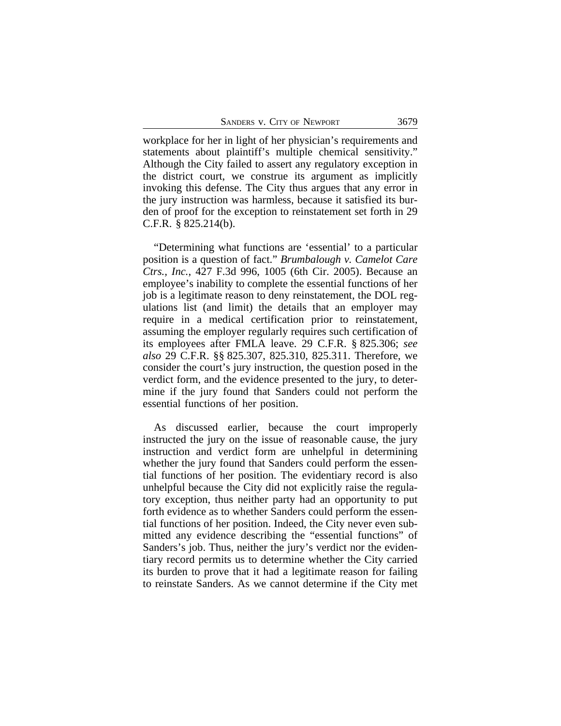SANDERS V. CITY OF NEWPORT 3679

workplace for her in light of her physician's requirements and statements about plaintiff's multiple chemical sensitivity." Although the City failed to assert any regulatory exception in the district court, we construe its argument as implicitly invoking this defense. The City thus argues that any error in the jury instruction was harmless, because it satisfied its burden of proof for the exception to reinstatement set forth in 29 C.F.R. § 825.214(b).

"Determining what functions are 'essential' to a particular position is a question of fact." *Brumbalough v. Camelot Care Ctrs., Inc.*, 427 F.3d 996, 1005 (6th Cir. 2005). Because an employee's inability to complete the essential functions of her job is a legitimate reason to deny reinstatement, the DOL regulations list (and limit) the details that an employer may require in a medical certification prior to reinstatement, assuming the employer regularly requires such certification of its employees after FMLA leave. 29 C.F.R. § 825.306; *see also* 29 C.F.R. §§ 825.307, 825.310, 825.311. Therefore, we consider the court's jury instruction, the question posed in the verdict form, and the evidence presented to the jury, to determine if the jury found that Sanders could not perform the essential functions of her position.

As discussed earlier, because the court improperly instructed the jury on the issue of reasonable cause, the jury instruction and verdict form are unhelpful in determining whether the jury found that Sanders could perform the essential functions of her position. The evidentiary record is also unhelpful because the City did not explicitly raise the regulatory exception, thus neither party had an opportunity to put forth evidence as to whether Sanders could perform the essential functions of her position. Indeed, the City never even submitted any evidence describing the "essential functions" of Sanders's job. Thus, neither the jury's verdict nor the evidentiary record permits us to determine whether the City carried its burden to prove that it had a legitimate reason for failing to reinstate Sanders. As we cannot determine if the City met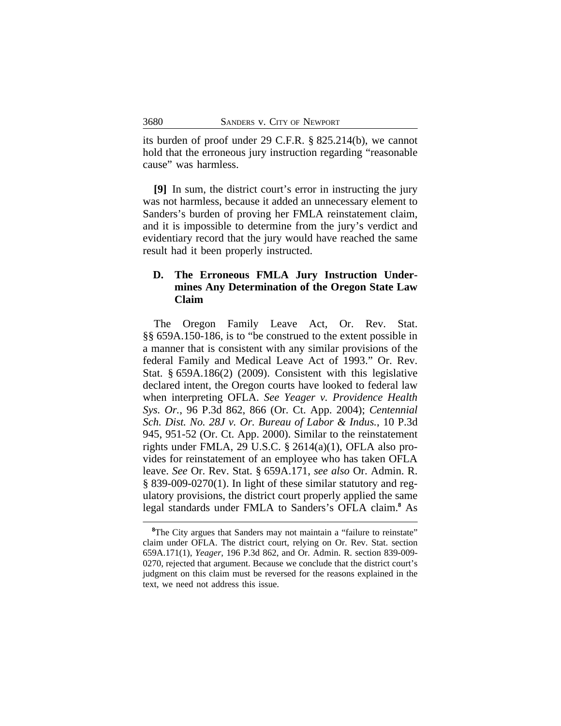its burden of proof under 29 C.F.R. § 825.214(b), we cannot hold that the erroneous jury instruction regarding "reasonable cause" was harmless.

**[9]** In sum, the district court's error in instructing the jury was not harmless, because it added an unnecessary element to Sanders's burden of proving her FMLA reinstatement claim, and it is impossible to determine from the jury's verdict and evidentiary record that the jury would have reached the same result had it been properly instructed.

## **D. The Erroneous FMLA Jury Instruction Undermines Any Determination of the Oregon State Law Claim**

The Oregon Family Leave Act, Or. Rev. Stat. §§ 659A.150-186, is to "be construed to the extent possible in a manner that is consistent with any similar provisions of the federal Family and Medical Leave Act of 1993." Or. Rev. Stat. § 659A.186(2) (2009). Consistent with this legislative declared intent, the Oregon courts have looked to federal law when interpreting OFLA. *See Yeager v. Providence Health Sys. Or.*, 96 P.3d 862, 866 (Or. Ct. App. 2004); *Centennial Sch. Dist. No. 28J v. Or. Bureau of Labor & Indus.*, 10 P.3d 945, 951-52 (Or. Ct. App. 2000). Similar to the reinstatement rights under FMLA, 29 U.S.C.  $\S$  2614(a)(1), OFLA also provides for reinstatement of an employee who has taken OFLA leave. *See* Or. Rev. Stat. § 659A.171, *see also* Or. Admin. R. § 839-009-0270(1). In light of these similar statutory and regulatory provisions, the district court properly applied the same legal standards under FMLA to Sanders's OFLA claim.**<sup>8</sup>** As

<sup>&</sup>lt;sup>8</sup>The City argues that Sanders may not maintain a "failure to reinstate" claim under OFLA. The district court, relying on Or. Rev. Stat. section 659A.171(1), *Yeager*, 196 P.3d 862, and Or. Admin. R. section 839-009- 0270, rejected that argument. Because we conclude that the district court's judgment on this claim must be reversed for the reasons explained in the text, we need not address this issue.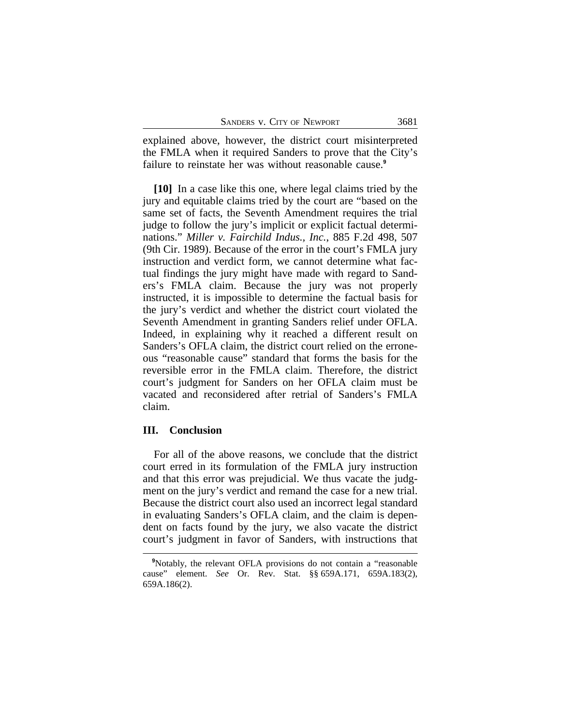explained above, however, the district court misinterpreted the FMLA when it required Sanders to prove that the City's failure to reinstate her was without reasonable cause.**<sup>9</sup>**

**[10]** In a case like this one, where legal claims tried by the jury and equitable claims tried by the court are "based on the same set of facts, the Seventh Amendment requires the trial judge to follow the jury's implicit or explicit factual determinations." *Miller v. Fairchild Indus., Inc.*, 885 F.2d 498, 507 (9th Cir. 1989). Because of the error in the court's FMLA jury instruction and verdict form, we cannot determine what factual findings the jury might have made with regard to Sanders's FMLA claim. Because the jury was not properly instructed, it is impossible to determine the factual basis for the jury's verdict and whether the district court violated the Seventh Amendment in granting Sanders relief under OFLA. Indeed, in explaining why it reached a different result on Sanders's OFLA claim, the district court relied on the erroneous "reasonable cause" standard that forms the basis for the reversible error in the FMLA claim. Therefore, the district court's judgment for Sanders on her OFLA claim must be vacated and reconsidered after retrial of Sanders's FMLA claim.

#### **III. Conclusion**

For all of the above reasons, we conclude that the district court erred in its formulation of the FMLA jury instruction and that this error was prejudicial. We thus vacate the judgment on the jury's verdict and remand the case for a new trial. Because the district court also used an incorrect legal standard in evaluating Sanders's OFLA claim, and the claim is dependent on facts found by the jury, we also vacate the district court's judgment in favor of Sanders, with instructions that

**<sup>9</sup>**Notably, the relevant OFLA provisions do not contain a "reasonable cause" element. *See* Or. Rev. Stat. §§ 659A.171, 659A.183(2), 659A.186(2).